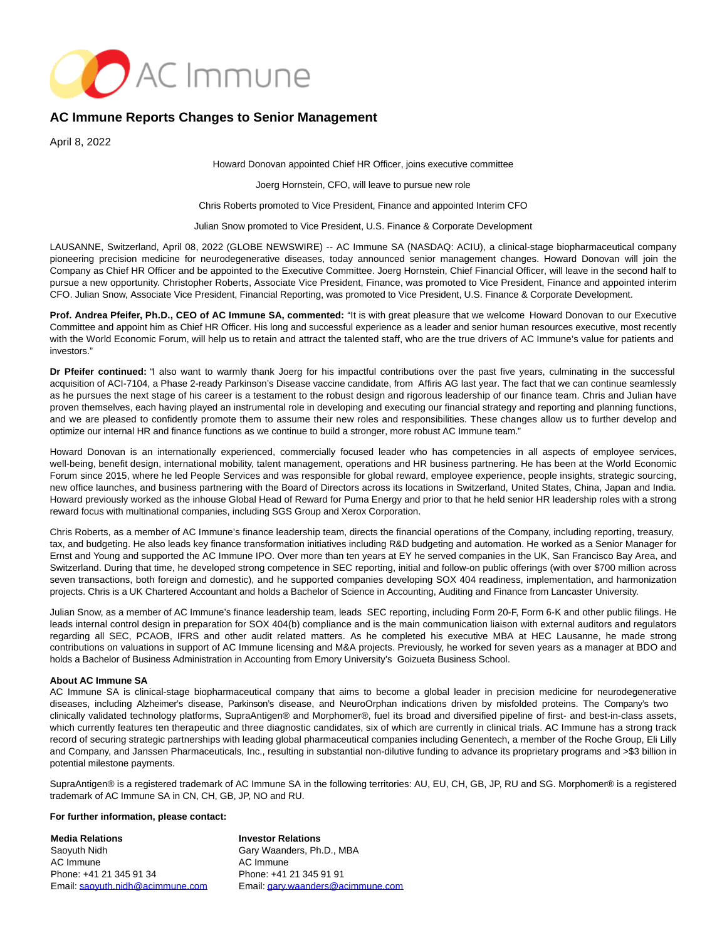

## **AC Immune Reports Changes to Senior Management**

April 8, 2022

Howard Donovan appointed Chief HR Officer, joins executive committee

Joerg Hornstein, CFO, will leave to pursue new role

Chris Roberts promoted to Vice President, Finance and appointed Interim CFO

Julian Snow promoted to Vice President, U.S. Finance & Corporate Development

LAUSANNE, Switzerland, April 08, 2022 (GLOBE NEWSWIRE) -- AC Immune SA (NASDAQ: ACIU), a clinical-stage biopharmaceutical company pioneering precision medicine for neurodegenerative diseases, today announced senior management changes. Howard Donovan will join the Company as Chief HR Officer and be appointed to the Executive Committee. Joerg Hornstein, Chief Financial Officer, will leave in the second half to pursue a new opportunity. Christopher Roberts, Associate Vice President, Finance, was promoted to Vice President, Finance and appointed interim CFO. Julian Snow, Associate Vice President, Financial Reporting, was promoted to Vice President, U.S. Finance & Corporate Development.

**Prof. Andrea Pfeifer, Ph.D., CEO of AC Immune SA, commented:** "It is with great pleasure that we welcome Howard Donovan to our Executive Committee and appoint him as Chief HR Officer. His long and successful experience as a leader and senior human resources executive, most recently with the World Economic Forum, will help us to retain and attract the talented staff, who are the true drivers of AC Immune's value for patients and investors."

**Dr Pfeifer continued:** "I also want to warmly thank Joerg for his impactful contributions over the past five years, culminating in the successful acquisition of ACI-7104, a Phase 2-ready Parkinson's Disease vaccine candidate, from Affiris AG last year. The fact that we can continue seamlessly as he pursues the next stage of his career is a testament to the robust design and rigorous leadership of our finance team. Chris and Julian have proven themselves, each having played an instrumental role in developing and executing our financial strategy and reporting and planning functions, and we are pleased to confidently promote them to assume their new roles and responsibilities. These changes allow us to further develop and optimize our internal HR and finance functions as we continue to build a stronger, more robust AC Immune team."

Howard Donovan is an internationally experienced, commercially focused leader who has competencies in all aspects of employee services, well-being, benefit design, international mobility, talent management, operations and HR business partnering. He has been at the World Economic Forum since 2015, where he led People Services and was responsible for global reward, employee experience, people insights, strategic sourcing, new office launches, and business partnering with the Board of Directors across its locations in Switzerland, United States, China, Japan and India. Howard previously worked as the inhouse Global Head of Reward for Puma Energy and prior to that he held senior HR leadership roles with a strong reward focus with multinational companies, including SGS Group and Xerox Corporation.

Chris Roberts, as a member of AC Immune's finance leadership team, directs the financial operations of the Company, including reporting, treasury, tax, and budgeting. He also leads key finance transformation initiatives including R&D budgeting and automation. He worked as a Senior Manager for Ernst and Young and supported the AC Immune IPO. Over more than ten years at EY he served companies in the UK, San Francisco Bay Area, and Switzerland. During that time, he developed strong competence in SEC reporting, initial and follow-on public offerings (with over \$700 million across seven transactions, both foreign and domestic), and he supported companies developing SOX 404 readiness, implementation, and harmonization projects. Chris is a UK Chartered Accountant and holds a Bachelor of Science in Accounting, Auditing and Finance from Lancaster University.

Julian Snow, as a member of AC Immune's finance leadership team, leads SEC reporting, including Form 20-F, Form 6-K and other public filings. He leads internal control design in preparation for SOX 404(b) compliance and is the main communication liaison with external auditors and regulators regarding all SEC, PCAOB, IFRS and other audit related matters. As he completed his executive MBA at HEC Lausanne, he made strong contributions on valuations in support of AC Immune licensing and M&A projects. Previously, he worked for seven years as a manager at BDO and holds a Bachelor of Business Administration in Accounting from Emory University's Goizueta Business School.

## **About AC Immune SA**

AC Immune SA is clinical-stage biopharmaceutical company that aims to become a global leader in precision medicine for neurodegenerative diseases, including Alzheimer's disease, Parkinson's disease, and NeuroOrphan indications driven by misfolded proteins. The Company's two clinically validated technology platforms, SupraAntigen® and Morphomer®, fuel its broad and diversified pipeline of first- and best-in-class assets, which currently features ten therapeutic and three diagnostic candidates, six of which are currently in clinical trials. AC Immune has a strong track record of securing strategic partnerships with leading global pharmaceutical companies including Genentech, a member of the Roche Group, Eli Lilly and Company, and Janssen Pharmaceuticals, Inc., resulting in substantial non-dilutive funding to advance its proprietary programs and >\$3 billion in potential milestone payments.

SupraAntigen® is a registered trademark of AC Immune SA in the following territories: AU, EU, CH, GB, JP, RU and SG. Morphomer® is a registered trademark of AC Immune SA in CN, CH, GB, JP, NO and RU.

## **For further information, please contact:**

**Media Relations** Saoyuth Nidh AC Immune Phone: +41 21 345 91 34 Email: [saoyuth.nidh@acimmune.com](mailto:saoyuth.nidh@acimmune.com) **Investor Relations** Gary Waanders, Ph.D., MBA AC Immune Phone: +41 21 345 91 91 Email[: gary.waanders@acimmune.com](mailto:gary.waanders@acimmune.com)